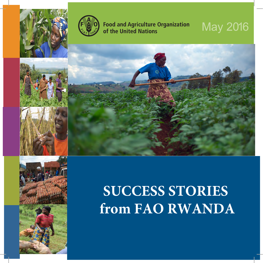



**Food and Agriculture Organization** of the United Nations

## **May 2016**



## **SUCCESS STORIES** from FAO RWANDA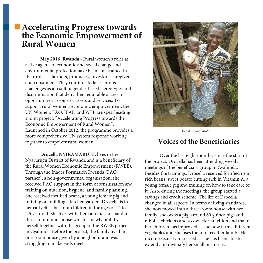## **Accelerating Progress towards the Economic Empowerment of Rural Women**

**May 2016, Rwanda** - Rural women's roles as active agents of economic and social change and environmental protection have been constrained in their roles as farmers, producers, investors, caregivers and consumers. They continue to face serious challenges as a result of gender-based stereotypes and discrimination that deny them equitable access to opportunities, resources, assets and services. To support rural women's economic empowerment, the UN Women, FAO, IFAD and WFP are spearheading a joint project, "Accelerating Progress towards the Economic Empowerment of Rural Women". Launched in October 2012, the programme provides a more comprehensive UN system response working together to empower rural women.

**Drocella NYIRAMARUHE** lives in the Nyarurugu District of Rwanda and is a beneficiary of the Rural Women Economic Empowerment (RWEE). Through the Inades Formation Rwanda (FAO partner), a non-governmental organisation, she received FAO support in the form of sensitization and training on nutrition, hygiene, and family planning. She received fortified beans, a young female pig and training on building a kitchen garden. Drocella is in her early 40's, has four children in the ages of 12 to 2.5 year old. She lives with them and her husband in a three-room mud-house which is newly built by herself together with the group of the RWEE project in Cyahinda. Before the project, the family lived in a one-room house given by a neighbour and was struggling to make ends meet.



*Drocella Nyiramaruhe*

## **Voices of the Beneficiaries**

Over the last eight months, since the start of the project, Drocella has been attending weekly meetings of the beneficiary group in Cyahinda. Besides the trainings, Drocella received fortified ironrich beans, sweet potato cutting rich in Vitamin A, a young female pig and training on how to take care of it. Also, during the meetings, the group started a savings and credit scheme. The life of Drocella changed in all aspects. In terms of living standards, she now moved into a three-room house with her family, she owns a pig, around 60 guinea pigs and rabbits, chickens and a cow. Her nutrition and that of her children has improved as she now farms different vegetables and she uses them to feed her family. Her income security increased as she has been able to extend and diversify her small businesses.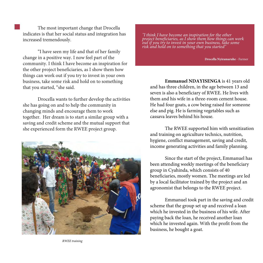The most important change that Drocella indicates is that her social status and integration has increased tremendously.

"I have seen my life and that of her family change in a positive way. I now feel part of the community. I think I have become an inspiration for the other project beneficiaries, as I show them how things can work out if you try to invest in your own business, take some risk and hold on to something that you started, "she said.

Drocella wants to further develop the activities she has going on and to help the community in changing minds and encourage them to work together. Her dream is to start a similar group with a saving and credit scheme and the mutual support that she experienced form the RWEE project group.



*"I think I have become an inspiration for the other project beneficiaries, as I show them how things can work out if you try to invest in your own business, take some risk and hold on to something that you started"*

**Drocella Nyiramaruhe** - Farmer

**Emmanuel NDAYISENGA** is 41 years old and has three children, in the age between 13 and seven is also a beneficiary of RWEE. He lives with them and his wife in a three-room cement house. He had four goats, a cow being raised for someone else and pig. He is farming vegetables such as cassava leaves behind his house.

The RWEE supported him with sensitization and training on agriculture technics, nutrition, hygiene, conflict management, saving and credit, income generating activities and family planning.

Since the start of the project, Emmanuel has been attending weekly meetings of the beneficiary group in Cyahinda, which consists of 40 beneficiaries, mostly women. The meetings are led by a local facilitator trained by the project and an agronomist that belongs to the RWEE project.

Emmanuel took part in the saving and credit scheme that the group set up and received a loan which he invested in the business of his wife. After paying back the loan, he received another loan which he invested again. With the profit from the business, he bought a goat.

*RWEE training*